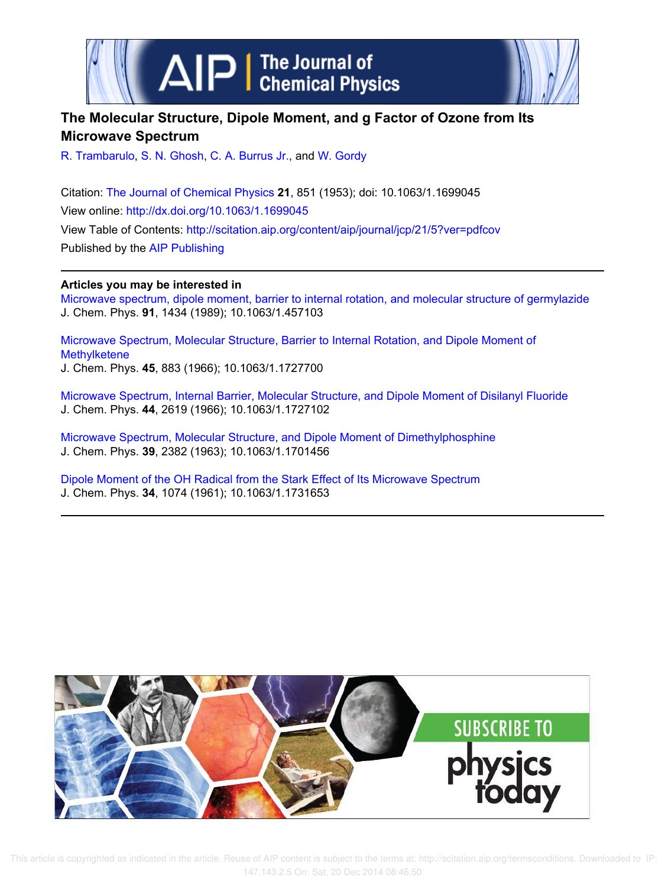



# **The Molecular Structure, Dipole Moment, and g Factor of Ozone from Its Microwave Spectrum**

R. Trambarulo, S. N. Ghosh, C. A. Burrus Jr., and W. Gordy

Citation: The Journal of Chemical Physics **21**, 851 (1953); doi: 10.1063/1.1699045 View online: http://dx.doi.org/10.1063/1.1699045 View Table of Contents: http://scitation.aip.org/content/aip/journal/jcp/21/5?ver=pdfcov Published by the AIP Publishing

# **Articles you may be interested in**

Microwave spectrum, dipole moment, barrier to internal rotation, and molecular structure of germylazide J. Chem. Phys. **91**, 1434 (1989); 10.1063/1.457103

Microwave Spectrum, Molecular Structure, Barrier to Internal Rotation, and Dipole Moment of **Methylketene** J. Chem. Phys. **45**, 883 (1966); 10.1063/1.1727700

Microwave Spectrum, Internal Barrier, Molecular Structure, and Dipole Moment of Disilanyl Fluoride J. Chem. Phys. **44**, 2619 (1966); 10.1063/1.1727102

Microwave Spectrum, Molecular Structure, and Dipole Moment of Dimethylphosphine J. Chem. Phys. **39**, 2382 (1963); 10.1063/1.1701456

Dipole Moment of the OH Radical from the Stark Effect of Its Microwave Spectrum J. Chem. Phys. **34**, 1074 (1961); 10.1063/1.1731653



 This article is copyrighted as indicated in the article. Reuse of AIP content is subject to the terms at: http://scitation.aip.org/termsconditions. Downloaded to IP: 147.143.2.5 On: Sat, 20 Dec 2014 08:46:50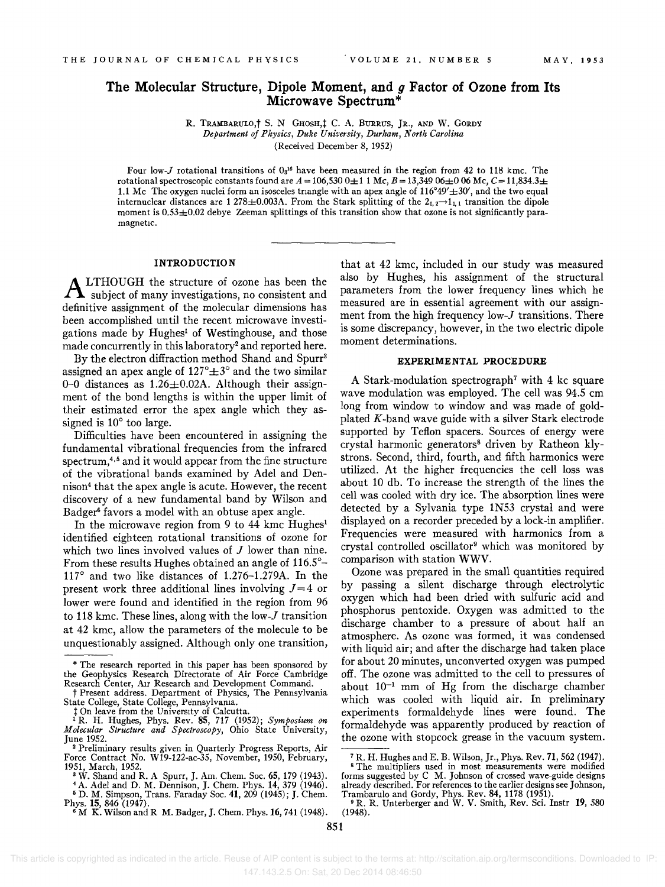# **The Molecular Structure, Dipole Moment, and** *g* **Factor of Ozone from Its Microwave Spectrum\***

R. TRAMBARULO,<sup>†</sup> S. N GHOSH,<sup>†</sup> C. A. BURRUS, JR., AND W. GORDY *Department of Physics, Duke University, Durham, North Carolina*  (Received December 8, 1952)

Four low-l rotational transitions of 0316 have been measured in the region from 42 to *llB* kmc. The rotational spectroscopic constants found are  $A = 106,5300 \pm 11$  Mc,  $B = 13,34906 \pm 0.06$  Mc,  $C = 11,834.3 \pm 1.06$ 1.1 Mc The oxygen nuclei form an isosceles triangle with an apex angle of  $116^{\circ}49' \pm 30'$ , and the two equal internuclear distances are 1 278 $\pm$ 0.003A. From the Stark splitting of the 2<sub>0</sub><sup>2</sup>-1<sub>1</sub><sup>1</sup> transition the dipole moment is  $0.53\pm0.02$  debye Zeeman splittings of this transition show that ozone is not significantly paramagnetic.

### **INTRODUCTION**

A LTHOUGH the structure of ozone has been the<br>subject of many investigations, no consistent and LTHOUGH the structure of ozone has been the definitive assignment of the molecular dimensions has been accomplished until the recent microwave investigations made by Hughes<sup>1</sup> of Westinghouse, and those made concurrently in this laboratory<sup>2</sup> and reported here.

By the electron diffraction method Shand and Spurr<sup>3</sup> assigned an apex angle of  $127^{\circ} \pm 3^{\circ}$  and the two similar 0-0 distances as  $1.26 \pm 0.02$ A. Although their assignment of the bond lengths is within the upper limit of their estimated error the apex angle which they assigned is 10° too large.

Difficulties have been encountered in assigning the fundamental vibrational frequencies from the infrared spectrum,4.5 and it would appear from the fine structure of the vibrational bands examined by Adel and Dennison4 that the apex angle is acute. However, the recent discovery of a new fundamental band by Wilson and Badger<sup>6</sup> favors a model with an obtuse apex angle.

In the microwave region from 9 to 44 kmc  $Hughes<sup>1</sup>$ identified eighteen rotational transitions of ozone for which two lines involved values of  $J$  lower than nine. From these results Hughes obtained an angle of 116.5°- 117° and two like distances of l.276-1.279A. In the present work three additional lines involving  $J=4$  or lower were found and identified in the region from 96 to 118 kmc. These lines, along with the low-J transition at 42 kmc, allow the parameters of the molecule to be unquestionably assigned. Although only one transition,

t Present address. Department of Physics, The Pennsylvania State College, State College, Pennsylvama.

that at 42 kmc, included in our study was measured also by Hughes, his assignment of the structural parameters from the lower frequency lines which he measured are in essential agreement with our assignment from the high frequency low-J transitions. There is some discrepancy, however, in the two electric dipole moment determinations.

### **EXPERIMENTAL PROCEDURE**

A Stark-modulation spectrograph<sup> $7$ </sup> with 4 kc square wave modulation was employed. The cell was 94.5 cm long from window to window and was made of goldplated K-band wave guide with a silver Stark electrode supported by Teflon spacers. Sources of energy were crystal harmonic generators<sup>8</sup> driven by Ratheon klystrons. Second, third, fourth, and fifth harmonics were utilized. At the higher frequencies the cell loss was about 10 db. To increase the strength of the lines the cell was cooled with dry ice. The absorption lines were detected by a Sylvania type 1N53 crystal and were displayed on a recorder preceded by a lock-in amplifier. Frequencies were measured with harmonics from a crystal controlled oscillator9 which was monitored by comparison with station WWV.

Ozone was prepared in the small quantities required by passing a silent discharge through electrolytic oxygen which had been dried with sulfuric acid and phosphorus pentoxide. Oxygen was admitted to the discharge chamber to a pressure of about half an atmosphere. As ozone was formed, it was condensed with liquid air; and after the discharge had taken place for about 20 minutes, unconverted oxygen was pumped off. The ozone was admitted to the cell to pressures of about  $10^{-1}$  mm of Hg from the discharge chamber which was cooled with liquid air. In preliminary experiments formaldehyde lines were found. The formaldehyde was apparently produced by reaction of the ozone with stopcock grease in the vacuum system.

<sup>\*</sup> The research reported in this paper has been sponsored by the Geophysics Research Directorate of Air Force Cambridge Research Center, Air Research and Development Command.

t On leave from the UniverSity of Calcutta. <sup>I</sup>R. H. Hughes, Phys. Rev. 85, 717 (1952); *Symposium on Molecular Structure and Spectroscopy,* Ohio State University, June 1952.

<sup>2</sup>Preliminary results given in Quarterly Progress Reports, Air Force Contract No. W19-122-ac-35, November, 1950, February, 7 R. H. Hughes and E. B. Wilson, Jr., Phys. Rev. 71,562 (1947).

<sup>5</sup>D. M. Simpson, Trans. Faraday Soc. 41, 209 (1945); J. Chern. Trambarulo and Gordy, Phys. Rev. 84,1178 (1951). Phys. 15,846 (1947). 9 R. R. Unterberger and W. V. Smith, Rev. Sci. Instr 19, 580

<sup>1951,</sup> March, 1952. 8 The multipliers used in most measurements were modified

<sup>&</sup>lt;sup>3</sup> W. Shand and R. A Spurr, J. Am. Chem. Soc. 65, 179 (1943). forms suggested by C M. Johnson of crossed wave-guide designs<br><sup>4</sup> A. Adel and D. M. Dennison, J. Chem. Phys. 14, 379 (1946). already described. For re

<sup>6</sup> D. M. Simpson, Trans. Faraday Soc. 41, 209 (1945); J. Chem. Trambarulo and Gordy, Phys. Rev. 84, 1178 (1951).<br>
19 S. 15, 846 (1947).<br>
<sup>8</sup> M. K. Wilson and R M. Badger, J. Chem. Phys. 16, 741 (1948). (1948). (1948). (194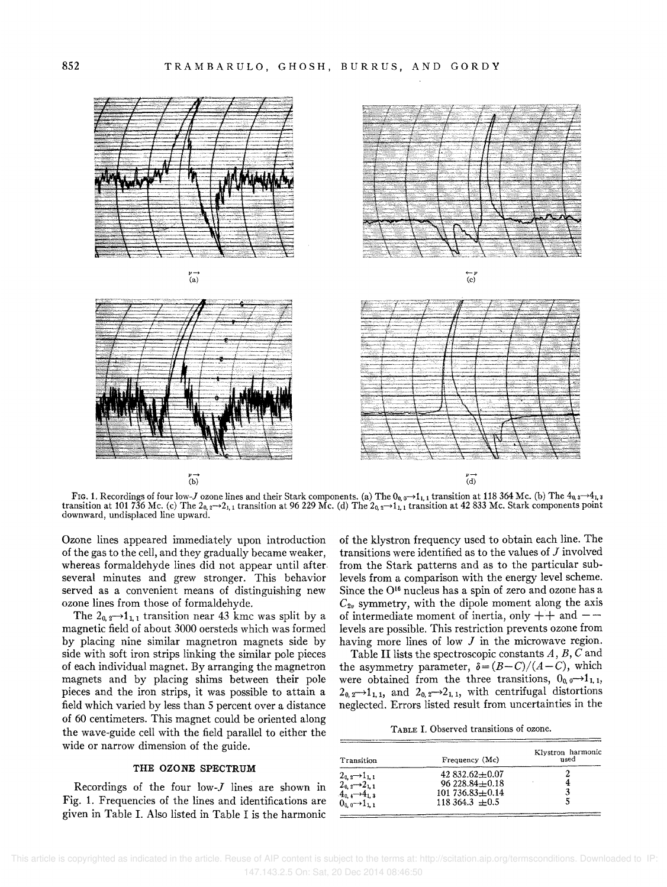

FIG. 1. Recordings of four low-J ozone lines and their Stark components. (a) The  $0_{0.0} \rightarrow 1_{1.1}$  transition at 118 364 Mc. (b) The  $4_{0.3} \rightarrow 4_{1.3}$ transition at 101 736 Mc. (c) The  $2_{0,2}\rightarrow 2_{1,1}$  transition at 96 229 Mc. (d) The  $2_{0,2}\rightarrow 1_{1,1}$  transition at 42 833 Mc. Stark components point downward, undisplaced line upward.

Ozone lines appeared immediately upon introduction of the gas to the cell, and they gradually became weaker, whereas formaldehyde lines did not appear until after, several minutes and grew stronger. This behavior served as a convenient means of distinguishing new ozone lines from those of formaldehyde.

The  $2_{0,2} \rightarrow 1_{1,1}$  transition near 43 kmc was split by a magnetic field of about 3000 oersteds which was formed by placing nine similar magnetron magnets side by side with soft iron strips linking the similar pole pieces of each individual magnet. By arranging the magnetron magnets and by placing shims between their pole pieces and the iron strips, it was possible to attain a field which varied by less than 5 percent over a distance of 60 centimeters. This magnet could be oriented along the wave-guide cell with the field parallel to either the wide or narrow dimension of the guide.

## THE OZONE SPECTRUM

Recordings of the four low-J lines are shown in Fig. 1. Frequencies of the lines and identifications are given in Table 1. Also listed in Table I is the harmonic of the klystron frequency used to obtain each line. The transitions were identified as to the values of J involved from the Stark patterns and as to the particular sublevels from a comparison with the energy level scheme. Since the  $O<sup>16</sup>$  nucleus has a spin of zero and ozone has a  $C_{2v}$  symmetry, with the dipole moment along the axis of intermediate moment of inertia, only  $++$  and  $-$ levels are possible. This restriction prevents ozone from having more lines of low  $J$  in the microwave region.

Table II lists the spectroscopic constants  $A, B, C$  and the asymmetry parameter,  $\delta = (B - C)/(A - C)$ , which were obtained from the three transitions,  $0_{0,0} \rightarrow 1_{1,1}$ ,  $2_{0,2} \rightarrow 1_{1,1}$ , and  $2_{0,2} \rightarrow 2_{1,1}$ , with centrifugal distortions neglected. Errors listed result from uncertainties in the

TABLE I. Observed transitions of ozone.

| Transition                                                 | Frequency (Mc)        | Klystron harmonic<br>used |
|------------------------------------------------------------|-----------------------|---------------------------|
|                                                            | 42 $832.62 \pm 0.07$  |                           |
| $2_{0,2}\rightarrow1_{1,1}$<br>$2_{0,2}\rightarrow2_{1,1}$ | $96228.84 + 0.18$     |                           |
| $4_{0.4} \rightarrow 4_{1.3}$                              | 101 736.83 $\pm$ 0.14 |                           |
| $0_0 \rightarrow 1_{1,1}$                                  | $118,364.3 \pm 0.5$   |                           |
|                                                            |                       |                           |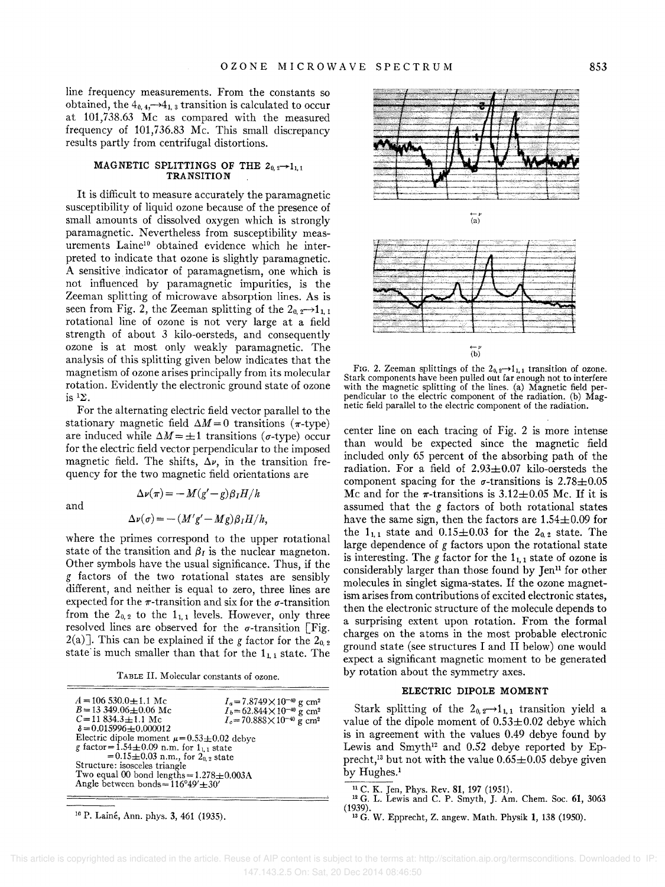line frequency measurements. From the constants so obtained, the  $4_{0,4} \rightarrow 4_{1,3}$  transition is calculated to occur at 101,738.63 Mc as compared with the measured frequency of 101,736.83 Mc. This small discrepancy results partly from centrifugal distortions.

### MAGNETIC SPLITTINGS OF THE  $2_{0,2}\rightarrow1_{1,1}$ **TRANSITION**

It is difficult to measure accurately the paramagnetic susceptibility of liquid ozone because of the presence of small amounts of dissolved oxygen which is strongly paramagnetic. Nevertheless from susceptibility measurements Laine10 obtained evidence which he interpreted to indicate that ozone is slightly paramagnetic. A sensitive indicator of paramagnetism, one which is not influenced by paramagnetic impurities, is the Zeeman splitting of microwave absorption lines. As is seen from Fig. 2, the Zeeman splitting of the  $2<sub>0.2</sub> \rightarrow 1<sub>1.1</sub>$ rotational line of ozone is not very large at a field strength of about 3 kilo-oersteds, and consequently ozone is at most only weakly paramagnetic. The analysis of this splitting given below indicates that the magnetism of ozone arises principally from its molecular rotation. Evidently the electronic ground state of ozone is  ${}^{1}\Sigma$ .

For the alternating electric field vector parallel to the stationary magnetic field  $\Delta M = 0$  transitions ( $\pi$ -type) are induced while  $\Delta M = \pm 1$  transitions ( $\sigma$ -type) occur for the electric field vector perpendicular to the imposed magnetic field. The shifts,  $\Delta \nu$ , in the transition frequency for the two magnetic field orientations are

and

$$
\Delta \nu(\pi) = -M(g'-g)\beta_I H/h
$$
  

$$
\Delta \nu(\sigma) = -(M'g'-Mg)\beta_I H/h,
$$

where the primes correspond to the upper rotational state of the transition and  $\beta_I$  is the nuclear magneton. Other symbols have the usual significance. Thus, if the g factors of the two rotational states are sensibly different, and neither is equal to zero, three lines are expected for the  $\pi$ -transition and six for the  $\sigma$ -transition from the  $2_{0,2}$  to the  $1_{1,1}$  levels. However, only three resolved lines are observed for the  $\sigma$ -transition [Fig. 2(a)]. This can be explained if the g factor for the  $2_{0,2}$ state is much smaller than that for the  $1_{1,1}$  state. The

TABLE II. Molecular constants of ozone.

| $A = 106530.0 \pm 1.1$ Mc<br>$B = 13349.06 \pm 0.06$ Mc<br>$C = 11834.3 \pm 1.1$ Mc<br>$\delta = 0.015996 \pm 0.000012$<br>Electric dipole moment $\mu = 0.53 \pm 0.02$ debve<br>g factor = $1.54 \pm 0.09$ n.m. for $1_{1,1}$ state<br>$= 0.15 \pm 0.03$ n.m., for $2_{0.2}$ state | $I_a = 7.8749 \times 10^{-40}$ g cm <sup>2</sup><br>$I_b = 62.844 \times 10^{-40}$ g cm <sup>2</sup><br>$I_e = 70.888 \times 10^{-40}$ g cm <sup>2</sup> |  |  |
|-------------------------------------------------------------------------------------------------------------------------------------------------------------------------------------------------------------------------------------------------------------------------------------|----------------------------------------------------------------------------------------------------------------------------------------------------------|--|--|
| Structure: isosceles triangle<br>Two equal 00 bond lengths $= 1.278 \pm 0.003$ A<br>Angle between bonds = $116^{\circ}49' \pm 30'$                                                                                                                                                  |                                                                                                                                                          |  |  |
|                                                                                                                                                                                                                                                                                     |                                                                                                                                                          |  |  |

<sup>10</sup>P. Laine, Ann. phys. 3, 461 (1935).



FIG. 2. Zeeman splittings of the  $2_{0,2} \rightarrow 1_{1,1}$  transition of ozone. Stark components have been pulled out far enough not to interfere with the magnetic splitting of the lines. (a) Magnetic field per-<br>pendicular to the electric component of the radiation. (b) Mag-<br>netic field parallel to the electric component of the radiation.

center line on each tracing of Fig. 2 is more intense than would be expected since the magnetic field included only 65 percent of the absorbing path of the radiation. For a field of  $2.93 \pm 0.07$  kilo-oersteds the component spacing for the  $\sigma$ -transitions is 2.78 $\pm$ 0.05 Mc and for the  $\pi$ -transitions is 3.12 $\pm$ 0.05 Mc. If it is assumed that the *g* factors of both rotational states have the same sign, then the factors are  $1.54 \pm 0.09$  for the  $1_{1,1}$  state and  $0.15\pm0.03$  for the  $2_{0,2}$  state. The large dependence of  $g$  factors upon the rotational state is interesting. The g factor for the  $1_{1,1}$  state of ozone is considerably larger than those found by Jen<sup>11</sup> for other molecules in singlet sigma-states. If the ozone magnetism arises from contributions of excited electronic states, then the electronic structure of the molecule depends to a surprising extent upon rotation. From the charges on the atoms in the most probable electromc ground state (see structures I and II below) one would expect a significant magnetic moment to be generated by rotation about the symmetry axes.

### ELECTRIC DIPOLE MOMENT

Stark splitting of the  $2_{0,2} \rightarrow 1_{1,1}$  transition yield a value of the dipole moment of  $0.53\pm0.02$  debye which is in agreement with the values 0.49 debye found by Lewis and Smyth<sup>12</sup> and  $0.52$  debye reported by Epprecht,<sup>13</sup> but not with the value  $0.65 \pm 0.05$  debye given by Hughes.<sup>1</sup>

<sup>&</sup>lt;sup>11</sup> C. K. Jen, Phys. Rev. 81, 197 (1951).<br><sup>12</sup> G. L. Lewis and C. P. Smyth, J. Am. Chem. Soc. 61, 3063 (1939).<br><sup>13</sup> G. W. Epprecht, Z. angew. Math. Physik **1**, 138 (1950).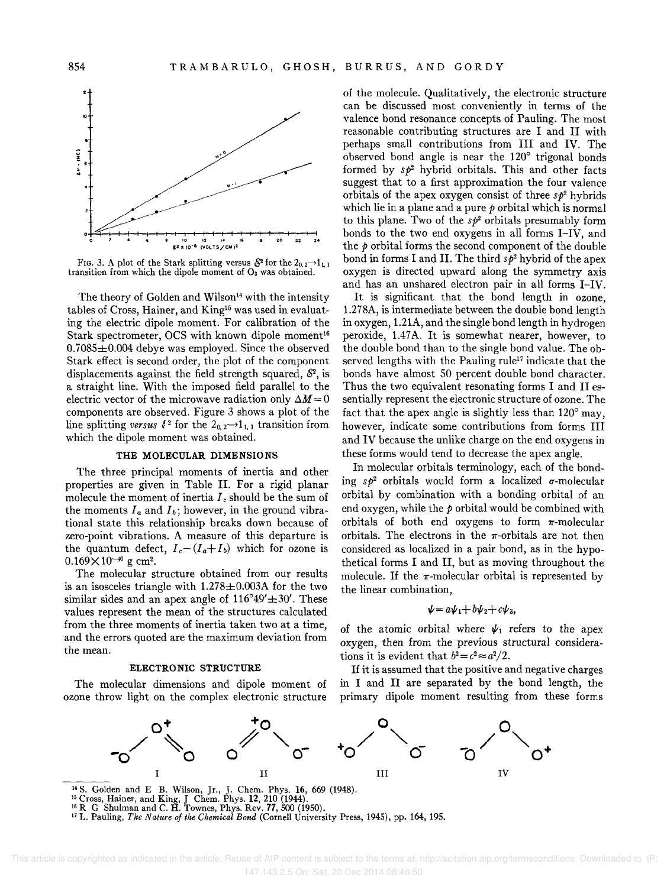

FIG. 3. A plot of the Stark splitting versus  $\mathcal{E}^2$  for the  $2_{0,2} \rightarrow 1_{1,1}$ transition from which the dipole moment of  $O<sub>3</sub>$  was obtained.

The theory of Golden and Wilson<sup>14</sup> with the intensity tables of Cross, Hainer, and King<sup>15</sup> was used in evaluating the electric dipole moment. For calibration of the Stark spectrometer, OCS with known dipole moment<sup>16</sup>  $0.7085\pm0.004$  debye was employed. Since the observed Stark effect is second order, the plot of the component displacements against the field strength squared,  $\mathcal{E}^2$ , is a straight line. With the imposed field parallel to the electric vector of the microwave radiation only  $\Delta M = 0$ components are observed. Figure 3 shows a plot of the line splitting *versus*  $\ell^2$  for the  $2_{0,2} \rightarrow 1_{1,1}$  transition from which the dipole moment was obtained.

#### THE MOLECULAR DIMENSIONS

The three principal moments of inertia and other properties are given in Table II. For a rigid planar molecule the moment of inertia  $I_c$  should be the sum of the moments  $I_a$  and  $I_b$ ; however, in the ground vibrational state this relationship breaks down because of zero-point vibrations. A measure of this departure is the quantum defect,  $I_c - (I_a + I_b)$  which for ozone is  $0.169\times10^{-40}$  g cm<sup>2</sup>.

The molecular structure obtained from our results is an isosceles triangle with  $1.278 \pm 0.003$ A for the two similar sides and an apex angle of  $116^{\circ}49' \pm 30'$ . These values represent the mean of the structures calculated from the three moments of inertia taken two at a time, and the errors quoted are the maximum deviation from the mean.

#### ELECTRONIC STRUCTURE

The molecular dimensions and dipole moment of ozone throw light on the complex electronic structure of the molecule. Qualitatively, the electronic structure can be discussed most conveniently in terms of the valence bond resonance concepts of Pauling. The most reasonable contributing structures are I and II with perhaps small contributions from III and IV. The observed bond angle is near the 120° trigonal bonds formed by *Sp2* hybrid orbitals. This and other facts suggest that to a first approximation the four valence orbitals of the apex oxygen consist of three *Sp2* hybrids which lie in a plane and a pure  $p$  orbital which is normal to this plane. Two of the *Sp2* orbitals presumably form bonds to the two end oxygens in all forms I-IV, and the  $\phi$  orbital forms the second component of the double bond in forms I and II. The third *Sp2* hybrid of the apex oxygen is directed upward along the symmetry axis and has an unshared electron pair in all forms I-IV.

It is significant that the bond length in ozone, 1.278A, is intermediate between the double bond length in oxygen, 1.21A, and the single bond length in hydrogen peroxide, 1.47A. It is somewhat nearer, however, to the double bond than to the single bond value. The observed lengths with the Pauling rule<sup>17</sup> indicate that the bonds have almost SO percent double bond character. Thus the two equivalent resonating forms I and II essentially represent the electronic structure of ozone. The fact that the apex angle is slightly less than 120° may, however, indicate some contributions from forms III and IV because the unlike charge on the end oxygens in these forms would tend to decrease the apex angle.

In molecular orbitals terminology, each of the bonding  $s\hat{p}^2$  orbitals would form a localized  $\sigma$ -molecular orbital by combination with a bonding orbital of an end oxygen, while the  $\phi$  orbital would be combined with orbitals of both end oxygens to form  $\pi$ -molecular orbitals. The electrons in the  $\pi$ -orbitals are not then considered as localized in a pair bond, as in the hypothetical forms I and II, but as moving throughout the molecule. If the  $\pi$ -molecular orbital is represented by the linear combination,

# $\psi = a\psi_1 + b\psi_2 + c\psi_3$

of the atomic orbital where  $\psi_1$  refers to the apex oxygen, then from the previous structural considerations it is evident that  $b^2 = c^2 \approx a^2/2$ .

If it is assumed that the positive and negative charges in I and II are separated by the bond length, the primary dipole moment resulting from these forms



<sup>14</sup> S. Golden and E B. Wilson, Jr., J. Chem. Phys. 16, 669 (1948).<br><sup>15</sup> Cross, Hainer, and King, J Chem. Phys. 12, 210 (1944). <sup>16</sup> R G Shulman and C. H. Townes, Phys. Rev. 77, 500 (1950).

<sup>17</sup>L. Pauling, *The Nature of the Chemical Bond* (Cornell University Press, 1945), pp. 164, 195.